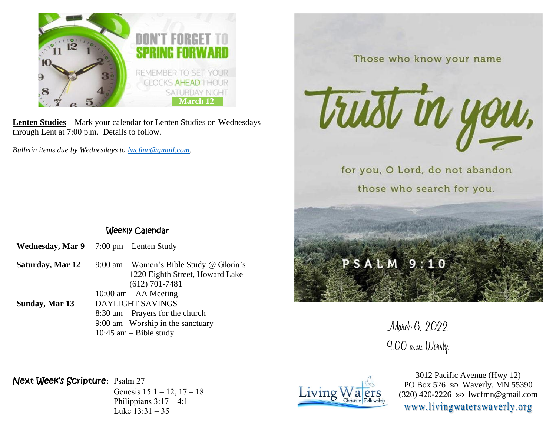

**Lenten Studies** – Mark your calendar for Lenten Studies on Wednesdays through Lent at 7:00 p.m. Details to follow.

*Bulletin items due by Wednesdays to [lwcfmn@gmail.com.](mailto:lwcfmn@gmail.com)*

| <b>Wednesday, Mar 9</b> | $7:00 \text{ pm} - \text{Lenten Study}$  |
|-------------------------|------------------------------------------|
|                         |                                          |
| Saturday, Mar 12        | 9:00 am – Women's Bible Study @ Gloria's |
|                         | 1220 Eighth Street, Howard Lake          |
|                         | $(612)$ 701-7481                         |
|                         | $10:00$ am $-$ AA Meeting                |
| Sunday, Mar 13          | <b>DAYLIGHT SAVINGS</b>                  |
|                         | $8:30$ am – Prayers for the church       |
|                         | $9:00$ am $-Worship$ in the sanctuary    |
|                         | 10:45 am $-$ Bible study                 |

Weekly Calendar

Those who know your name

trust in you. for you, O Lord, do not abandon

those who search for you.

## $PSALM9:10$

March 6, 2022 9:00 a.m. Worshp

## Next Week's Scripture**:** Psalm 27

Genesis 15:1 – 12, 17 – 18 Philippians  $3:17-4:1$ Luke 13:31 – 35



3012 Pacific Avenue (Hwy 12) PO Box 526  $\omega$  Waverly, MN 55390  $(320)$  420-2226 so lwcfmn@gmail.com www.livingwaterswaverly.org